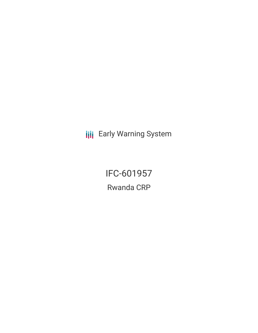**III** Early Warning System

IFC-601957 Rwanda CRP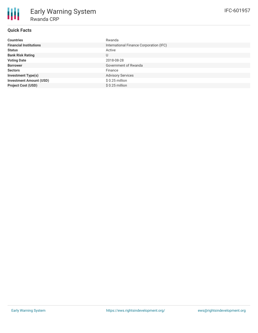# **Quick Facts**

| <b>Countries</b>               | Rwanda                                  |
|--------------------------------|-----------------------------------------|
| <b>Financial Institutions</b>  | International Finance Corporation (IFC) |
| <b>Status</b>                  | Active                                  |
| <b>Bank Risk Rating</b>        | U                                       |
| <b>Voting Date</b>             | 2018-08-28                              |
| <b>Borrower</b>                | Government of Rwanda                    |
| <b>Sectors</b>                 | Finance                                 |
| <b>Investment Type(s)</b>      | <b>Advisory Services</b>                |
| <b>Investment Amount (USD)</b> | $$0.25$ million                         |
| <b>Project Cost (USD)</b>      | $$0.25$ million                         |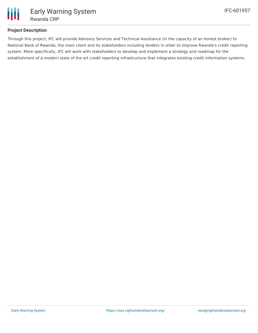

## **Project Description**

Through this project, IFC will provide Advisory Services and Technical Assistance (in the capacity of an honest broker) to National Bank of Rwanda, the main client and its stakeholders including lenders in order to improve Rwanda's credit reporting system. More specifically, IFC will work with stakeholders to develop and implement a strategy and roadmap for the establishment of a modern state of the art credit reporting infrastructure that integrates existing credit information systems.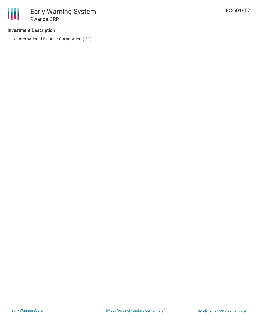### **Investment Description**

• International Finance Corporation (IFC)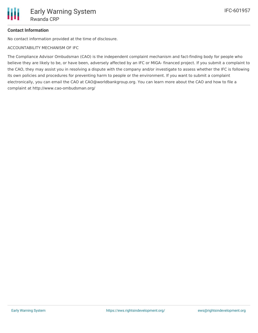## **Contact Information**

No contact information provided at the time of disclosure.

ACCOUNTABILITY MECHANISM OF IFC

The Compliance Advisor Ombudsman (CAO) is the independent complaint mechanism and fact-finding body for people who believe they are likely to be, or have been, adversely affected by an IFC or MIGA- financed project. If you submit a complaint to the CAO, they may assist you in resolving a dispute with the company and/or investigate to assess whether the IFC is following its own policies and procedures for preventing harm to people or the environment. If you want to submit a complaint electronically, you can email the CAO at CAO@worldbankgroup.org. You can learn more about the CAO and how to file a complaint at http://www.cao-ombudsman.org/